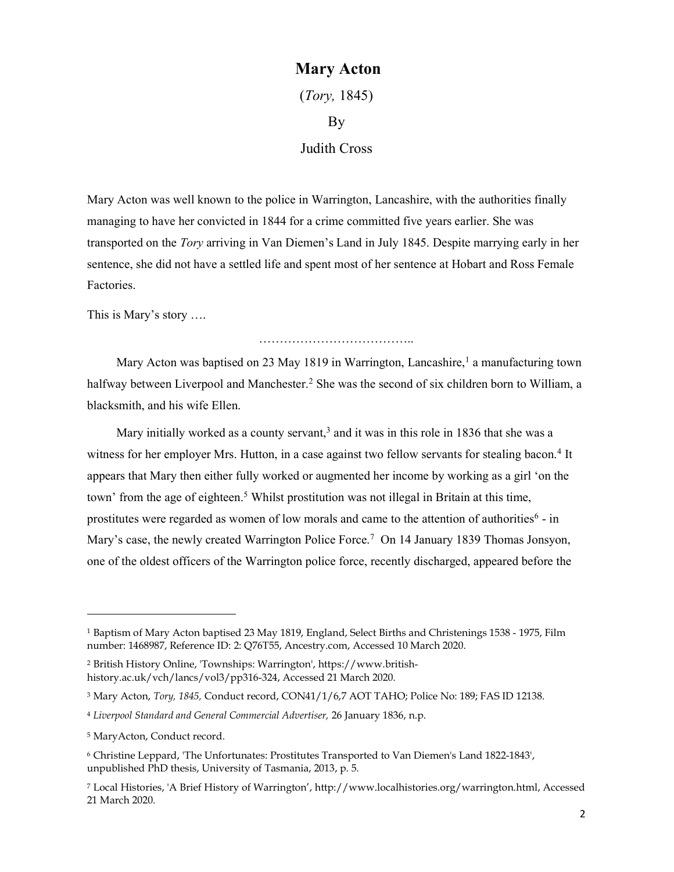## Mary Acton

(Tory, 1845) By Judith Cross

Mary Acton was well known to the police in Warrington, Lancashire, with the authorities finally managing to have her convicted in 1844 for a crime committed five years earlier. She was transported on the Tory arriving in Van Diemen's Land in July 1845. Despite marrying early in her sentence, she did not have a settled life and spent most of her sentence at Hobart and Ross Female Factories.

This is Mary's story ….

…………………………………………

Mary Acton was baptised on 23 May 1819 in Warrington, Lancashire,<sup>1</sup> a manufacturing town halfway between Liverpool and Manchester.<sup>2</sup> She was the second of six children born to William, a blacksmith, and his wife Ellen.

Mary initially worked as a county servant,<sup>3</sup> and it was in this role in 1836 that she was a witness for her employer Mrs. Hutton, in a case against two fellow servants for stealing bacon.<sup>4</sup> It appears that Mary then either fully worked or augmented her income by working as a girl 'on the town' from the age of eighteen.<sup>5</sup> Whilst prostitution was not illegal in Britain at this time, prostitutes were regarded as women of low morals and came to the attention of authorities<sup>6</sup> - in Mary's case, the newly created Warrington Police Force.<sup>7</sup> On 14 January 1839 Thomas Jonsyon, one of the oldest officers of the Warrington police force, recently discharged, appeared before the

 $\overline{a}$ 

<sup>1</sup> Baptism of Mary Acton baptised 23 May 1819, England, Select Births and Christenings 1538 - 1975, Film number: 1468987, Reference ID: 2: Q76T55, Ancestry.com, Accessed 10 March 2020.

<sup>2</sup> British History Online, 'Townships: Warrington', https://www.britishhistory.ac.uk/vch/lancs/vol3/pp316-324, Accessed 21 March 2020.

<sup>3</sup> Mary Acton, Tory, 1845, Conduct record, CON41/1/6,7 AOT TAHO; Police No: 189; FAS ID 12138.

<sup>4</sup> Liverpool Standard and General Commercial Advertiser, 26 January 1836, n.p.

<sup>5</sup> MaryActon, Conduct record.

<sup>6</sup> Christine Leppard, 'The Unfortunates: Prostitutes Transported to Van Diemen's Land 1822-1843', unpublished PhD thesis, University of Tasmania, 2013, p. 5.

<sup>7</sup> Local Histories, 'A Brief History of Warrington', http://www.localhistories.org/warrington.html, Accessed 21 March 2020.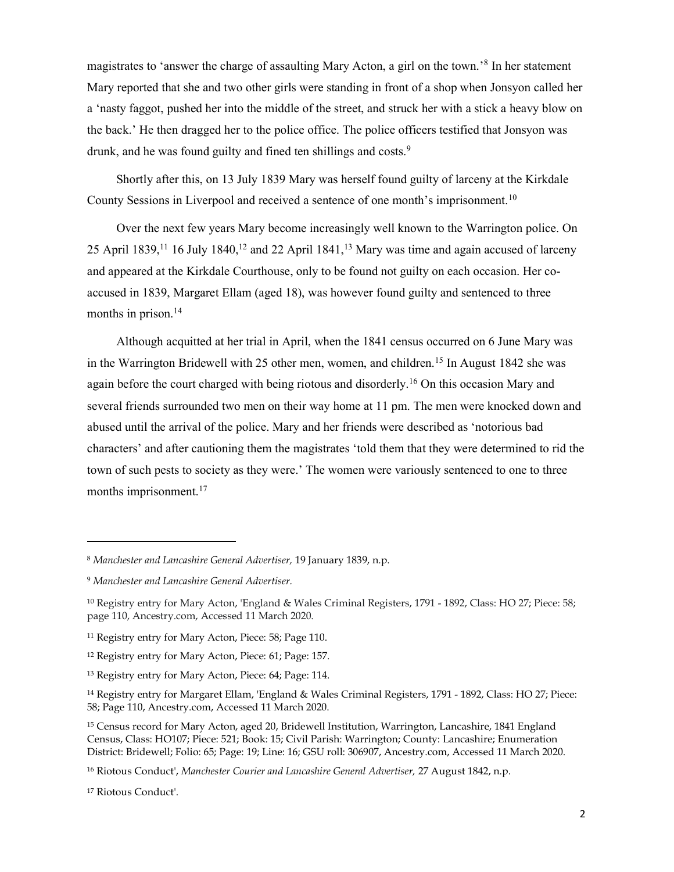magistrates to 'answer the charge of assaulting Mary Acton, a girl on the town.'<sup>8</sup> In her statement Mary reported that she and two other girls were standing in front of a shop when Jonsyon called her a 'nasty faggot, pushed her into the middle of the street, and struck her with a stick a heavy blow on the back.' He then dragged her to the police office. The police officers testified that Jonsyon was drunk, and he was found guilty and fined ten shillings and costs.<sup>9</sup>

Shortly after this, on 13 July 1839 Mary was herself found guilty of larceny at the Kirkdale County Sessions in Liverpool and received a sentence of one month's imprisonment.<sup>10</sup>

Over the next few years Mary become increasingly well known to the Warrington police. On 25 April 1839,<sup>11</sup> 16 July 1840,<sup>12</sup> and 22 April 1841,<sup>13</sup> Mary was time and again accused of larceny and appeared at the Kirkdale Courthouse, only to be found not guilty on each occasion. Her coaccused in 1839, Margaret Ellam (aged 18), was however found guilty and sentenced to three months in prison.<sup>14</sup>

Although acquitted at her trial in April, when the 1841 census occurred on 6 June Mary was in the Warrington Bridewell with 25 other men, women, and children.<sup>15</sup> In August 1842 she was again before the court charged with being riotous and disorderly.<sup>16</sup> On this occasion Mary and several friends surrounded two men on their way home at 11 pm. The men were knocked down and abused until the arrival of the police. Mary and her friends were described as 'notorious bad characters' and after cautioning them the magistrates 'told them that they were determined to rid the town of such pests to society as they were.' The women were variously sentenced to one to three months imprisonment.<sup>17</sup>

 $\overline{a}$ 

<sup>8</sup> Manchester and Lancashire General Advertiser, 19 January 1839, n.p.

<sup>9</sup> Manchester and Lancashire General Advertiser.

<sup>10</sup> Registry entry for Mary Acton, 'England & Wales Criminal Registers, 1791 - 1892, Class: HO 27; Piece: 58; page 110, Ancestry.com, Accessed 11 March 2020.

<sup>&</sup>lt;sup>11</sup> Registry entry for Mary Acton, Piece: 58; Page 110.

<sup>12</sup> Registry entry for Mary Acton, Piece: 61; Page: 157.

<sup>13</sup> Registry entry for Mary Acton, Piece: 64; Page: 114.

<sup>14</sup> Registry entry for Margaret Ellam, 'England & Wales Criminal Registers, 1791 - 1892, Class: HO 27; Piece: 58; Page 110, Ancestry.com, Accessed 11 March 2020.

<sup>15</sup> Census record for Mary Acton, aged 20, Bridewell Institution, Warrington, Lancashire, 1841 England Census, Class: HO107; Piece: 521; Book: 15; Civil Parish: Warrington; County: Lancashire; Enumeration District: Bridewell; Folio: 65; Page: 19; Line: 16; GSU roll: 306907, Ancestry.com, Accessed 11 March 2020.

<sup>&</sup>lt;sup>16</sup> Riotous Conduct', Manchester Courier and Lancashire General Advertiser, 27 August 1842, n.p.

<sup>17</sup> Riotous Conduct'.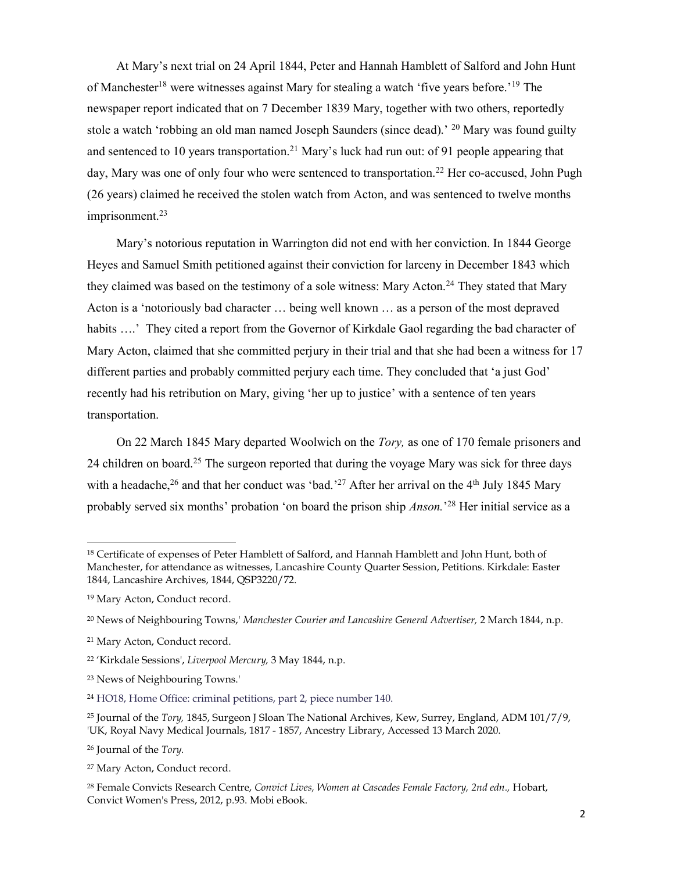At Mary's next trial on 24 April 1844, Peter and Hannah Hamblett of Salford and John Hunt of Manchester<sup>18</sup> were witnesses against Mary for stealing a watch 'five years before.'<sup>19</sup> The newspaper report indicated that on 7 December 1839 Mary, together with two others, reportedly stole a watch 'robbing an old man named Joseph Saunders (since dead).<sup>' 20</sup> Mary was found guilty and sentenced to 10 years transportation.<sup>21</sup> Mary's luck had run out: of 91 people appearing that day, Mary was one of only four who were sentenced to transportation.<sup>22</sup> Her co-accused, John Pugh (26 years) claimed he received the stolen watch from Acton, and was sentenced to twelve months imprisonment.<sup>23</sup>

Mary's notorious reputation in Warrington did not end with her conviction. In 1844 George Heyes and Samuel Smith petitioned against their conviction for larceny in December 1843 which they claimed was based on the testimony of a sole witness: Mary Acton.<sup>24</sup> They stated that Mary Acton is a 'notoriously bad character … being well known … as a person of the most depraved habits ....' They cited a report from the Governor of Kirkdale Gaol regarding the bad character of Mary Acton, claimed that she committed perjury in their trial and that she had been a witness for 17 different parties and probably committed perjury each time. They concluded that 'a just God' recently had his retribution on Mary, giving 'her up to justice' with a sentence of ten years transportation.

On 22 March 1845 Mary departed Woolwich on the *Tory*, as one of 170 female prisoners and 24 children on board.<sup>25</sup> The surgeon reported that during the voyage Mary was sick for three days with a headache,  $^{26}$  and that her conduct was 'bad.'<sup>27</sup> After her arrival on the 4<sup>th</sup> July 1845 Mary probably served six months' probation 'on board the prison ship *Anson*.<sup>'28</sup> Her initial service as a

l

<sup>&</sup>lt;sup>18</sup> Certificate of expenses of Peter Hamblett of Salford, and Hannah Hamblett and John Hunt, both of Manchester, for attendance as witnesses, Lancashire County Quarter Session, Petitions. Kirkdale: Easter 1844, Lancashire Archives, 1844, QSP3220/72.

<sup>19</sup> Mary Acton, Conduct record.

<sup>&</sup>lt;sup>20</sup> News of Neighbouring Towns,' Manchester Courier and Lancashire General Advertiser, 2 March 1844, n.p.

<sup>21</sup> Mary Acton, Conduct record.

<sup>22</sup> 'Kirkdale Sessions', Liverpool Mercury, 3 May 1844, n.p.

<sup>23</sup> News of Neighbouring Towns.'

<sup>24</sup> HO18, Home Office: criminal petitions, part 2, piece number 140.

<sup>&</sup>lt;sup>25</sup> Journal of the *Tory*, 1845, Surgeon J Sloan The National Archives, Kew, Surrey, England, ADM 101/7/9, 'UK, Royal Navy Medical Journals, 1817 - 1857, Ancestry Library, Accessed 13 March 2020.

<sup>26</sup> Journal of the Tory.

<sup>27</sup> Mary Acton, Conduct record.

<sup>&</sup>lt;sup>28</sup> Female Convicts Research Centre, Convict Lives, Women at Cascades Female Factory, 2nd edn., Hobart, Convict Women's Press, 2012, p.93. Mobi eBook.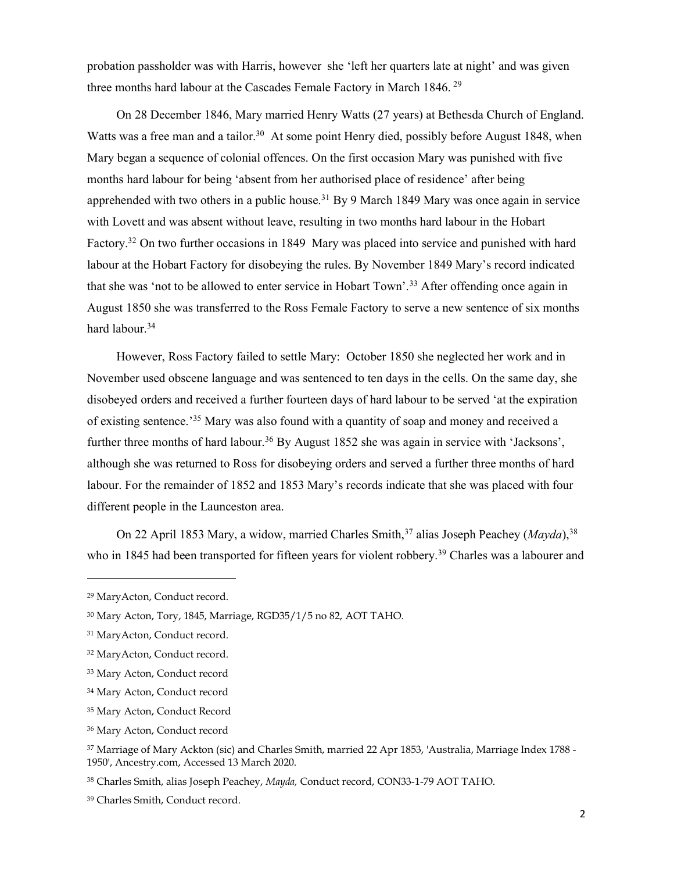probation passholder was with Harris, however she 'left her quarters late at night' and was given three months hard labour at the Cascades Female Factory in March 1846.<sup>29</sup>

On 28 December 1846, Mary married Henry Watts (27 years) at Bethesda Church of England. Watts was a free man and a tailor.<sup>30</sup> At some point Henry died, possibly before August 1848, when Mary began a sequence of colonial offences. On the first occasion Mary was punished with five months hard labour for being 'absent from her authorised place of residence' after being apprehended with two others in a public house.<sup>31</sup> By 9 March 1849 Mary was once again in service with Lovett and was absent without leave, resulting in two months hard labour in the Hobart Factory.<sup>32</sup> On two further occasions in 1849 Mary was placed into service and punished with hard labour at the Hobart Factory for disobeying the rules. By November 1849 Mary's record indicated that she was 'not to be allowed to enter service in Hobart Town'.<sup>33</sup> After offending once again in August 1850 she was transferred to the Ross Female Factory to serve a new sentence of six months hard labour.<sup>34</sup>

However, Ross Factory failed to settle Mary: October 1850 she neglected her work and in November used obscene language and was sentenced to ten days in the cells. On the same day, she disobeyed orders and received a further fourteen days of hard labour to be served 'at the expiration of existing sentence.'<sup>35</sup> Mary was also found with a quantity of soap and money and received a further three months of hard labour.<sup>36</sup> By August 1852 she was again in service with 'Jacksons', although she was returned to Ross for disobeying orders and served a further three months of hard labour. For the remainder of 1852 and 1853 Mary's records indicate that she was placed with four different people in the Launceston area.

On 22 April 1853 Mary, a widow, married Charles Smith,<sup>37</sup> alias Joseph Peachey (*Mayda*),<sup>38</sup> who in 1845 had been transported for fifteen years for violent robbery.<sup>39</sup> Charles was a labourer and

 $\overline{a}$ 

<sup>29</sup> MaryActon, Conduct record.

<sup>30</sup> Mary Acton, Tory, 1845, Marriage, RGD35/1/5 no 82, AOT TAHO.

<sup>31</sup> MaryActon, Conduct record.

<sup>32</sup> MaryActon, Conduct record.

<sup>33</sup> Mary Acton, Conduct record

<sup>34</sup> Mary Acton, Conduct record

<sup>35</sup> Mary Acton, Conduct Record

<sup>36</sup> Mary Acton, Conduct record

<sup>37</sup> Marriage of Mary Ackton (sic) and Charles Smith, married 22 Apr 1853, 'Australia, Marriage Index 1788 - 1950', Ancestry.com, Accessed 13 March 2020.

<sup>38</sup> Charles Smith, alias Joseph Peachey, Mayda, Conduct record, CON33-1-79 AOT TAHO.

<sup>39</sup> Charles Smith, Conduct record.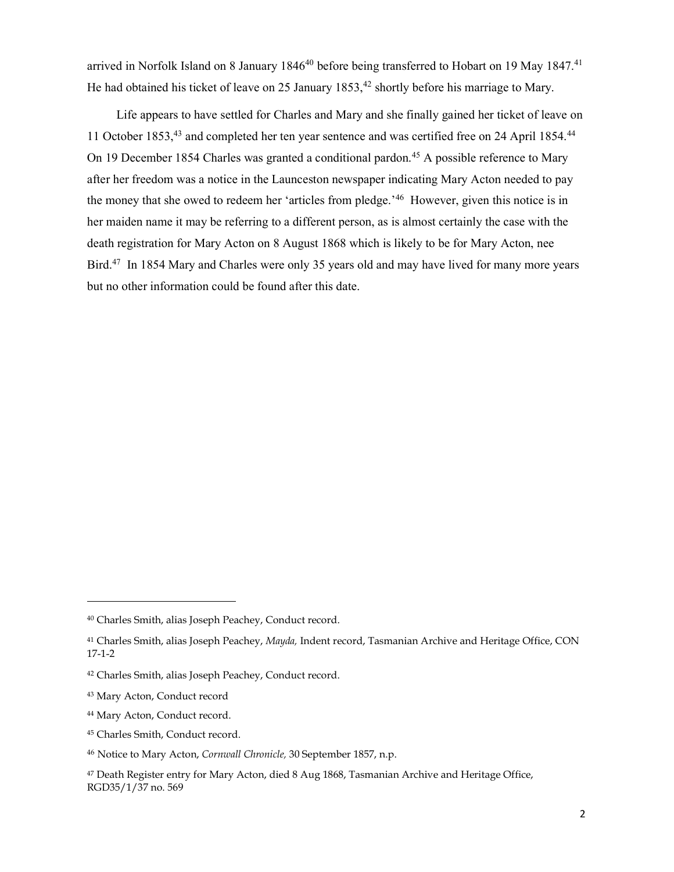arrived in Norfolk Island on 8 January 1846<sup>40</sup> before being transferred to Hobart on 19 May 1847.<sup>41</sup> He had obtained his ticket of leave on 25 January  $1853$ ,<sup>42</sup> shortly before his marriage to Mary.

Life appears to have settled for Charles and Mary and she finally gained her ticket of leave on 11 October 1853,<sup>43</sup> and completed her ten year sentence and was certified free on 24 April 1854.<sup>44</sup> On 19 December 1854 Charles was granted a conditional pardon.<sup>45</sup> A possible reference to Mary after her freedom was a notice in the Launceston newspaper indicating Mary Acton needed to pay the money that she owed to redeem her 'articles from pledge.<sup>'46</sup> However, given this notice is in her maiden name it may be referring to a different person, as is almost certainly the case with the death registration for Mary Acton on 8 August 1868 which is likely to be for Mary Acton, nee Bird.<sup>47</sup> In 1854 Mary and Charles were only 35 years old and may have lived for many more years but no other information could be found after this date.

l

<sup>40</sup> Charles Smith, alias Joseph Peachey, Conduct record.

<sup>41</sup> Charles Smith, alias Joseph Peachey, Mayda, Indent record, Tasmanian Archive and Heritage Office, CON 17-1-2

<sup>42</sup> Charles Smith, alias Joseph Peachey, Conduct record.

<sup>43</sup> Mary Acton, Conduct record

<sup>44</sup> Mary Acton, Conduct record.

<sup>45</sup> Charles Smith, Conduct record.

<sup>46</sup> Notice to Mary Acton, Cornwall Chronicle, 30 September 1857, n.p.

<sup>47</sup> Death Register entry for Mary Acton, died 8 Aug 1868, Tasmanian Archive and Heritage Office, RGD35/1/37 no. 569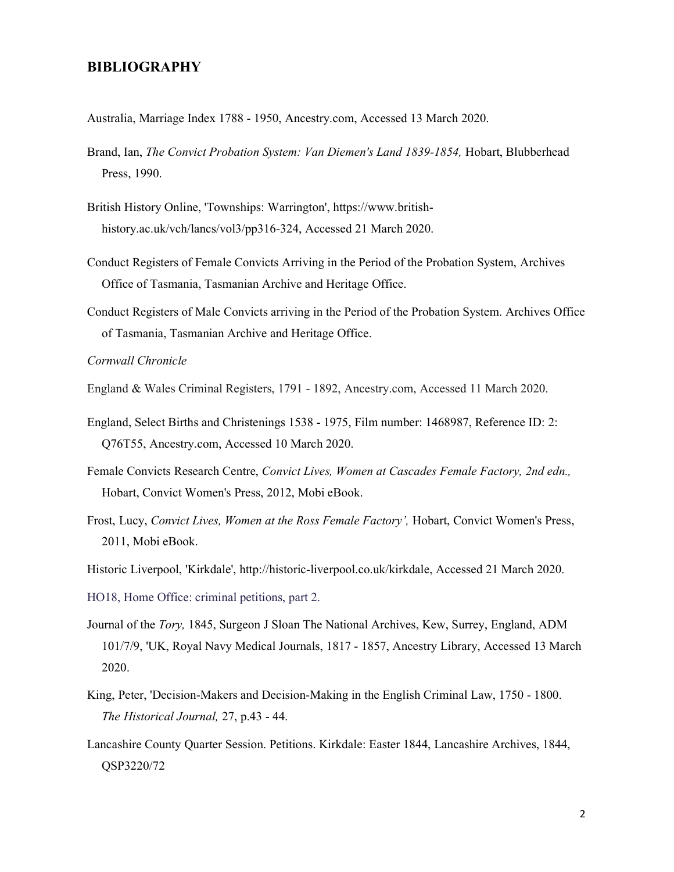## BIBLIOGRAPHY

Australia, Marriage Index 1788 - 1950, Ancestry.com, Accessed 13 March 2020.

- Brand, Ian, The Convict Probation System: Van Diemen's Land 1839-1854, Hobart, Blubberhead Press, 1990.
- British History Online, 'Townships: Warrington', https://www.britishhistory.ac.uk/vch/lancs/vol3/pp316-324, Accessed 21 March 2020.
- Conduct Registers of Female Convicts Arriving in the Period of the Probation System, Archives Office of Tasmania, Tasmanian Archive and Heritage Office.
- Conduct Registers of Male Convicts arriving in the Period of the Probation System. Archives Office of Tasmania, Tasmanian Archive and Heritage Office.

## Cornwall Chronicle

- England & Wales Criminal Registers, 1791 1892, Ancestry.com, Accessed 11 March 2020.
- England, Select Births and Christenings 1538 1975, Film number: 1468987, Reference ID: 2: Q76T55, Ancestry.com, Accessed 10 March 2020.
- Female Convicts Research Centre, Convict Lives, Women at Cascades Female Factory, 2nd edn., Hobart, Convict Women's Press, 2012, Mobi eBook.
- Frost, Lucy, Convict Lives, Women at the Ross Female Factory', Hobart, Convict Women's Press, 2011, Mobi eBook.
- Historic Liverpool, 'Kirkdale', http://historic-liverpool.co.uk/kirkdale, Accessed 21 March 2020.
- HO18, Home Office: criminal petitions, part 2.
- Journal of the Tory, 1845, Surgeon J Sloan The National Archives, Kew, Surrey, England, ADM 101/7/9, 'UK, Royal Navy Medical Journals, 1817 - 1857, Ancestry Library, Accessed 13 March 2020.
- King, Peter, 'Decision-Makers and Decision-Making in the English Criminal Law, 1750 1800. The Historical Journal, 27, p.43 - 44.
- Lancashire County Quarter Session. Petitions. Kirkdale: Easter 1844, Lancashire Archives, 1844, QSP3220/72